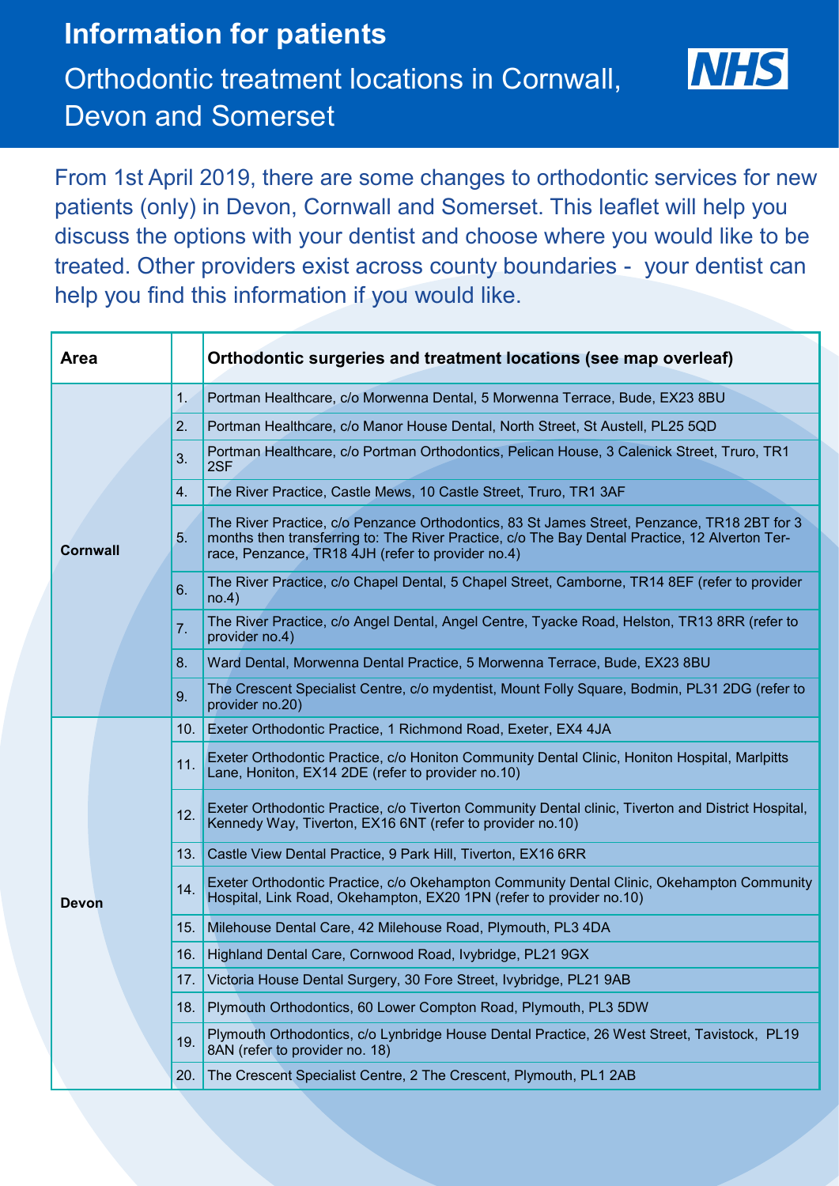## **Information for patients** Orthodontic treatment locations in Cornwall, Devon and Somerset



From 1st April 2019, there are some changes to orthodontic services for new patients (only) in Devon, Cornwall and Somerset. This leaflet will help you discuss the options with your dentist and choose where you would like to be treated. Other providers exist across county boundaries - your dentist can help you find this information if you would like.

| <b>Area</b>  |     | Orthodontic surgeries and treatment locations (see map overleaf)                                                                                                                                                                                   |
|--------------|-----|----------------------------------------------------------------------------------------------------------------------------------------------------------------------------------------------------------------------------------------------------|
| Cornwall     | 1.  | Portman Healthcare, c/o Morwenna Dental, 5 Morwenna Terrace, Bude, EX23 8BU                                                                                                                                                                        |
|              | 2.  | Portman Healthcare, c/o Manor House Dental, North Street, St Austell, PL25 5QD                                                                                                                                                                     |
|              | 3.  | Portman Healthcare, c/o Portman Orthodontics, Pelican House, 3 Calenick Street, Truro, TR1<br>2SF                                                                                                                                                  |
|              | 4.  | The River Practice, Castle Mews, 10 Castle Street, Truro, TR1 3AF                                                                                                                                                                                  |
|              | 5.  | The River Practice, c/o Penzance Orthodontics, 83 St James Street, Penzance, TR18 2BT for 3<br>months then transferring to: The River Practice, c/o The Bay Dental Practice, 12 Alverton Ter-<br>race, Penzance, TR18 4JH (refer to provider no.4) |
|              | 6.  | The River Practice, c/o Chapel Dental, 5 Chapel Street, Camborne, TR14 8EF (refer to provider<br>no.4)                                                                                                                                             |
|              | 7.  | The River Practice, c/o Angel Dental, Angel Centre, Tyacke Road, Helston, TR13 8RR (refer to<br>provider no.4)                                                                                                                                     |
|              | 8.  | Ward Dental, Morwenna Dental Practice, 5 Morwenna Terrace, Bude, EX23 8BU                                                                                                                                                                          |
|              | 9.  | The Crescent Specialist Centre, c/o mydentist, Mount Folly Square, Bodmin, PL31 2DG (refer to<br>provider no.20)                                                                                                                                   |
| <b>Devon</b> | 10. | Exeter Orthodontic Practice, 1 Richmond Road, Exeter, EX4 4JA                                                                                                                                                                                      |
|              | 11. | Exeter Orthodontic Practice, c/o Honiton Community Dental Clinic, Honiton Hospital, Marlpitts<br>Lane, Honiton, EX14 2DE (refer to provider no.10)                                                                                                 |
|              | 12. | Exeter Orthodontic Practice, c/o Tiverton Community Dental clinic, Tiverton and District Hospital,<br>Kennedy Way, Tiverton, EX16 6NT (refer to provider no.10)                                                                                    |
|              | 13. | Castle View Dental Practice, 9 Park Hill, Tiverton, EX16 6RR                                                                                                                                                                                       |
|              | 14. | Exeter Orthodontic Practice, c/o Okehampton Community Dental Clinic, Okehampton Community<br>Hospital, Link Road, Okehampton, EX20 1PN (refer to provider no.10)                                                                                   |
|              | 15. | Milehouse Dental Care, 42 Milehouse Road, Plymouth, PL3 4DA                                                                                                                                                                                        |
|              |     | 16. Highland Dental Care, Cornwood Road, Ivybridge, PL21 9GX                                                                                                                                                                                       |
|              | 17. | Victoria House Dental Surgery, 30 Fore Street, Ivybridge, PL21 9AB                                                                                                                                                                                 |
|              | 18. | Plymouth Orthodontics, 60 Lower Compton Road, Plymouth, PL3 5DW                                                                                                                                                                                    |
|              | 19. | Plymouth Orthodontics, c/o Lynbridge House Dental Practice, 26 West Street, Tavistock, PL19<br>8AN (refer to provider no. 18)                                                                                                                      |
|              | 20. | The Crescent Specialist Centre, 2 The Crescent, Plymouth, PL1 2AB                                                                                                                                                                                  |